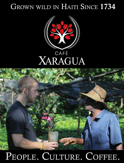# GROWN WILD IN HAITI SINCE 1734





# PEOPLE. CULTURE. COFFEE.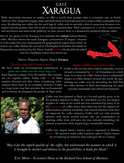

With meticulous attention to quality we offer a world class product that is extremely rare in North America. Our integrated supply chain and dedication to Fairtrade practices create a fully sustainable business. By planting one coffee tree for each bag of coffee sold we provide a direct connection between consumers and the product that will result in a loyal customer base. With customers in 11 of the 13 provinces and territories and nationwide publicity we have proven there is a demand for premium Haitian coffee.

One of our goals at Café Xaragua is to maintain the **culture** behind Haitian coffee. We have chosen the name Xaragua – pronounced "Z"aragua – because it is the name that once represented the geographical region from which we source our coffee. Before the arrival of Christopher Columbus the island of Hispaniola was inhabited by the Taino Arawak people who divided the island into five chiefdoms which were known as:

#### Marien, Maguana, Higuey, Maguá **Xaragua**.

#### Environmental Commitment

We have made an environmental commitment to **plant one coffee tree for every bag** sold Each bag has a unique Tree ID number that customers can register online. Today only 2% of Haiti remains forested and thus when considering reforestation there must be an economic incentive. Coffee

is a long term crop that provides the environmental and economic development the people of Haiti need.



#### Make a Difference with Coffee

**MARIEN** 

**XARAGUA** 

Coffee is the second most traded commodity next to oil and is consumed by 88% of Canadians on a daily basis. It is clear our coffee choices have a substantial impact on coffee farmers around the world. By purchasing our coffee you are providing the final link for coffee farmers in Haiti and beginning the push towards sustainable and ethical development.

Coffee was first planted in Haiti in 1734 and quickly grew to be the primary industry in Haiti. In 1949 Haiti was the 3rd largest supplier of coffee in the world and was considered by many to be the *Grand Cru* of coffee. Since then, Haiti has felt the impacts of deforestation, political instability and natural disasters that have all impacted the coffee industry. Coffee will not only provide farmers with much needed income, but our commitment to planting coffee trees will pave the way towards rebuilding the natural ecosystems while supporting a sustainable industry.

Coffee has shaped Haiti's history and is ingrained in Haitian culture. We intend to make coffee a positive part of Haiti's future by revitalizing an industry that could give life to a nation.

*"Buy it for the superb quality of the coffee, but understand the manner in which it is brought to market and believe in the possibilities it holds for Haiti"*

*Eric Morse - Executive Dean at the Richard Ivey School of Business*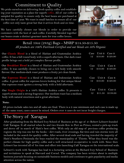### Commitment to Quality

We pride ourselves on delivering fresh quality coffee and establishing your reputation as a place for superb coffee. All of our coffee is sampled for quality to ensure only the best beans are purchased at the best time of year. We roast in small batches to ensure all of our coffee not only taste great but that it arrives fresh and on time.

We have carefully chosen our blends in order to provide our customers with the best of each coffee. Carefully blended together our beans create a distinct gourmet taste for true coffee lovers.



#### Retail 10oz (283g) Bags - MSRP \$14.50-\$15.50 *All products are 100% Fairtrade Certified and our blends are 50% Organic*

| Our Classic Blend is a blend of Haitian and Guatemalan Arabica<br>coffee. It has a full round body with a superb aftertaste. Our dark roast<br>profile brings out a bold yet complex flavour profile.            | Case<br>12 | Unit \$<br>\$10.00                | Case \$<br>\$120.00 |
|------------------------------------------------------------------------------------------------------------------------------------------------------------------------------------------------------------------|------------|-----------------------------------|---------------------|
| Our Breakfast Blend is a blend of Haitian and Guatemalan Arabica<br>coffee. It was carefully chosen to bring out a rich body with smooth<br>flavour. Our medium-dark roast produces a fruity yet clean finish.   | Case<br>12 | Unit \$<br>$$10.00 \quad $120.00$ | Case \$             |
| Our Espresso Blend is a blend of Haitian and Indonesian Arabica<br>coffee. A great coffee for espresso lovers looking for that unique blend.<br>Our espresso roast ignites a strong body with a bold aftertaste. | Case<br>12 | Unit \$<br>\$10.00                | Case \$<br>\$120.00 |
| Our Single Origin is a 100% Haitian Arabica coffee. It presents a<br>superb aroma and a strong fragrance. Our medium roast has a medium<br>body with natural sweetness and a great aftertaste.                   | Case<br>12 | Unit \$<br>\$11.50                | Case \$<br>\$138.00 |

#### **Note:**

All prices include sales tax and all sales are final. There is a 2 case minimum and each case is made up of the same roast, cases cannot be mixed. Orders over 4 cases do not incur freight charges.

### The Story of Xaragua

After graduating from the Richard Ivey School of Business at the age of 21 Robert Lehnert founded Café Xaragua. It all started when he and two friends flew to Port au Prince, rented a pick-up truck and drove off in search of Haiti's best coffee. With only an old map of previous coffee producing regions the trip was one for the books – dirt roads, river crossings, flat tires and rain storms were all included in the search for quality coffee. After several dead ends and having traveled the majority of Haiti's Southern Peninsula the boys reached the municipality of Thiotte. What they found was the perfect climate for high quality coffee and a well structured co-operative to work with. Since then Lehnert has invested all of his time and effort into launching Café Xaragua on the international scale.

Lehnert's work with Xaragua has lead to a lecturing series at the Richard Ivey School of Business and invitations to speak at Harvard and Cornel. The company has been written about in multiple business journals focusing on sustainable business models and continues to gain popularity and media attention across the nation.